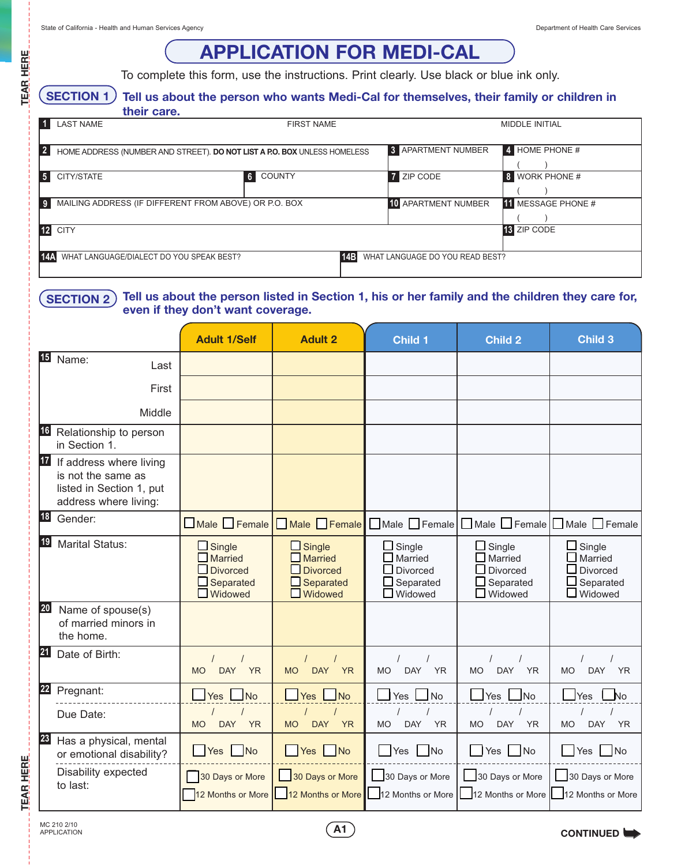**TEAR HERE**

# **APPLICATION FOR MEDI-CAL**

To complete this form, use the instructions. Print clearly. Use black or blue ink only.

#### **Tell us about the person who wants Medi-Cal for themselves, their family or children in SECTION 1**

|                | their care.                                           |                                                                          |                                 |                            |
|----------------|-------------------------------------------------------|--------------------------------------------------------------------------|---------------------------------|----------------------------|
|                | <b>LAST NAME</b>                                      | <b>FIRST NAME</b>                                                        |                                 | MIDDLE INITIAL             |
| $\overline{2}$ |                                                       | HOME ADDRESS (NUMBER AND STREET). DO NOT LIST A P.O. BOX UNLESS HOMELESS | <b>3</b> APARTMENT NUMBER       | $\frac{4}{4}$ HOME PHONE # |
| 5 <sub>1</sub> | CITY/STATE                                            | <b>COUNTY</b><br>6                                                       | <b>ZIP CODE</b><br>7            | <b>WORK PHONE #</b><br>8   |
|                | MAILING ADDRESS (IF DIFFERENT FROM ABOVE) OR P.O. BOX |                                                                          | <b>10 APARTMENT NUMBER</b>      | <b>11</b> MESSAGE PHONE #  |
|                | <b>CITY</b>                                           |                                                                          |                                 | <b>13 ZIP CODE</b>         |
| 14A            | WHAT LANGUAGE/DIALECT DO YOU SPEAK BEST?              | 14B                                                                      | WHAT LANGUAGE DO YOU READ BEST? |                            |

#### **Tell us about the person listed in Section 1, his or her family and the children they care for, even if they don't want coverage. SECTION 2**

|           |                                                                                                    | <b>Adult 1/Self</b>                                                                 | <b>Adult 2</b>                                                                    | <b>Child 1</b>                                                             | <b>Child 2</b>                                                             | <b>Child 3</b>                                                             |
|-----------|----------------------------------------------------------------------------------------------------|-------------------------------------------------------------------------------------|-----------------------------------------------------------------------------------|----------------------------------------------------------------------------|----------------------------------------------------------------------------|----------------------------------------------------------------------------|
| 15        | Name:<br>Last                                                                                      |                                                                                     |                                                                                   |                                                                            |                                                                            |                                                                            |
|           | First                                                                                              |                                                                                     |                                                                                   |                                                                            |                                                                            |                                                                            |
|           | Middle                                                                                             |                                                                                     |                                                                                   |                                                                            |                                                                            |                                                                            |
| 16        | Relationship to person<br>in Section 1.                                                            |                                                                                     |                                                                                   |                                                                            |                                                                            |                                                                            |
| 17        | If address where living<br>is not the same as<br>listed in Section 1, put<br>address where living: |                                                                                     |                                                                                   |                                                                            |                                                                            |                                                                            |
| <b>18</b> | Gender:                                                                                            | $\Box$ Male $\Box$ Female                                                           | Male Female                                                                       |                                                                            | $\Box$ Male $\Box$ Female $\Box$ Male $\Box$ Female $\Box$ Female          |                                                                            |
| 19        | <b>Marital Status:</b>                                                                             | $\Box$ Single<br>$\Box$ Married<br>$\Box$ Divorced<br>□ Separated<br>$\Box$ Widowed | $\Box$ Single<br><b>Married</b><br><b>Divorced</b><br>Separated<br>$\Box$ Widowed | $\Box$ Single<br>Married<br>Divorced<br>$\Box$ Separated<br><b>Widowed</b> | $\Box$ Single<br>Married<br>Divorced<br>$\Box$ Separated<br><b>Widowed</b> | $\Box$ Single<br>Married<br>$\Box$ Divorced<br>Separated<br>$\Box$ Widowed |
| 20        | Name of spouse(s)<br>of married minors in<br>the home.                                             |                                                                                     |                                                                                   |                                                                            |                                                                            |                                                                            |
| 21        | Date of Birth:                                                                                     | <b>DAY</b><br><b>YR</b><br><b>MO</b>                                                | <b>DAY</b><br><b>MO</b><br><b>YR</b>                                              | <b>DAY</b><br><b>YR</b><br><b>MO</b>                                       | <b>DAY</b><br><b>MO</b><br><b>YR</b>                                       | <b>DAY</b><br><b>MO</b><br><b>YR</b>                                       |
| 22        | Pregnant:                                                                                          | Yes No                                                                              | Yes<br>$\overline{\mathsf{No}}$                                                   | <b>No</b><br>$\Box$ Yes                                                    | N <sub>o</sub><br>$\Box$ Yes                                               | Yes<br>$\overline{\mathsf{N}}$ o                                           |
|           | Due Date:                                                                                          | <b>DAY</b><br><b>YR</b><br><b>MO</b>                                                | <b>MO</b><br><b>DAY</b><br><b>YR</b>                                              | <b>DAY</b><br><b>YR</b><br><b>MO</b>                                       | <b>MO</b><br><b>DAY</b><br><b>YR</b>                                       | <b>MO</b><br><b>DAY</b><br><b>YR</b>                                       |
| 23        | Has a physical, mental<br>or emotional disability?                                                 | <b>Yes</b><br>N <sub>o</sub>                                                        | Yes No                                                                            | Yes <b>Y</b><br><b>No</b>                                                  | Yes No                                                                     | Yes<br> No                                                                 |
|           | Disability expected<br>to last:                                                                    | 30 Days or More<br>12 Months or More                                                | 30 Days or More                                                                   | 30 Days or More<br>12 Months or More 12 Months or More                     | 30 Days or More                                                            | 30 Days or More<br>12 Months or More 12 Months or More                     |

**TEAR HERE**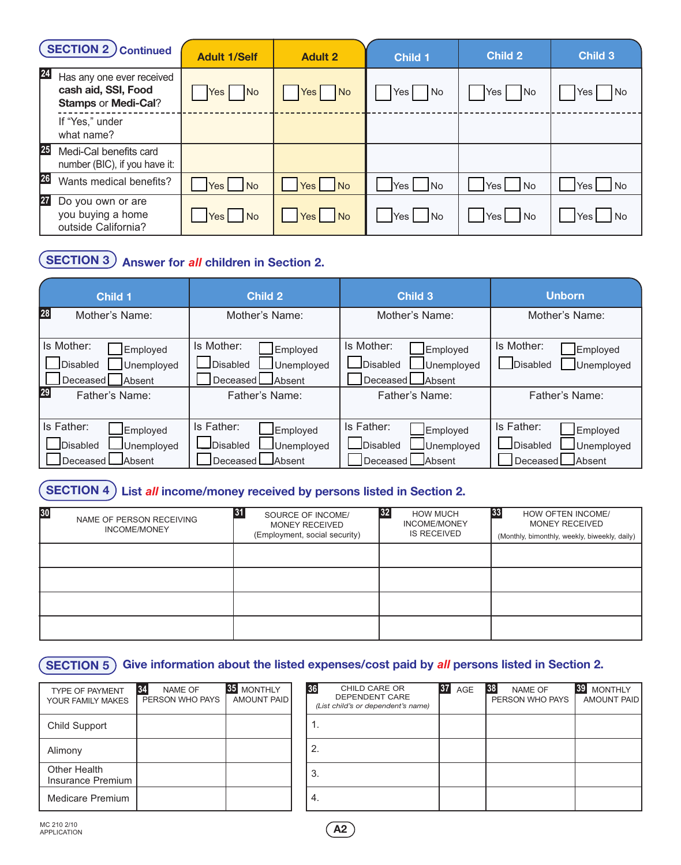|           | <b>SECTION 2 Continued</b>                                                     | <b>Adult 1/Self</b>           | <b>Adult 2</b>     | <b>Child 1</b> | <b>Child 2</b>           | <b>Child 3</b>     |
|-----------|--------------------------------------------------------------------------------|-------------------------------|--------------------|----------------|--------------------------|--------------------|
| 24        | Has any one ever received<br>cash aid, SSI, Food<br><b>Stamps or Medi-Cal?</b> | <b>No</b><br>Yes I            | Yes  <br><b>No</b> | Yes No         | Yes  <br><b>No</b>       | No<br>Yes          |
|           | If "Yes," under<br>what name?                                                  |                               |                    |                |                          |                    |
| 25        | Medi-Cal benefits card<br>number (BIC), if you have it:                        |                               |                    |                |                          |                    |
| 26        | Wants medical benefits?                                                        | N <sub>o</sub><br>Yes I       | Yes No             | Yes No         | Yes No                   | <b>No</b><br>Yes I |
| <b>27</b> | Do you own or are<br>you buying a home<br>outside California?                  | <b>No</b><br>Yes <sub>l</sub> | Yes No             | Yes No         | Yes <sub>1</sub><br>l No | No<br>Yes I        |

## **SECTION 3 Answer for** *all* **children in Section 2.**

| <b>Child 1</b>                                                                | <b>Child 2</b>                                                            | <b>Child 3</b>                                                                 | <b>Unborn</b>                                                                       |  |
|-------------------------------------------------------------------------------|---------------------------------------------------------------------------|--------------------------------------------------------------------------------|-------------------------------------------------------------------------------------|--|
| 28 <br>Mother's Name:                                                         | Mother's Name:                                                            | Mother's Name:                                                                 | Mother's Name:                                                                      |  |
| Is Mother:<br>Employed<br><b>Disabled</b><br>Unemployed<br>Absent<br>Deceased | Is Mother:<br>Employed<br>Disabled<br>Unemployed<br>Absent<br>Deceased I  | Is Mother:<br>Employed<br>Disabled<br>Unemployed<br>Absent<br>Deceased         | Is Mother:<br>Employed<br>Unemployed<br><b>Disabled</b>                             |  |
| 29<br>Father's Name:                                                          | Father's Name:                                                            | Father's Name:                                                                 | Father's Name:                                                                      |  |
| Is Father:<br>Employed<br><b>Disabled</b><br>Unemployed<br>Deceased<br>Absent | Is Father:<br>Employed<br>JDisabled<br>Unemployed<br>Deceased L<br>Absent | Is Father:<br>Employed<br><b>JDisabled</b><br>Unemployed<br>Deceased<br>Absent | Is Father:<br>Employed<br>Disabled<br>Unemployed<br>Deceased <sup>[</sup><br>Absent |  |

## **SECTION 4 List** *all* **income/money received by persons listed in Section 2.**

| 30<br>NAME OF PERSON RECEIVING<br><b>INCOME/MONEY</b> | 31<br>SOURCE OF INCOME/<br><b>MONEY RECEIVED</b><br>(Employment, social security) | 32<br><b>HOW MUCH</b><br><b>INCOME/MONEY</b><br><b>IS RECEIVED</b> | 33<br>HOW OFTEN INCOME/<br><b>MONEY RECEIVED</b><br>(Monthly, bimonthly, weekly, biweekly, daily) |
|-------------------------------------------------------|-----------------------------------------------------------------------------------|--------------------------------------------------------------------|---------------------------------------------------------------------------------------------------|
|                                                       |                                                                                   |                                                                    |                                                                                                   |
|                                                       |                                                                                   |                                                                    |                                                                                                   |
|                                                       |                                                                                   |                                                                    |                                                                                                   |
|                                                       |                                                                                   |                                                                    |                                                                                                   |

## **SECTION 5 Give information about the listed expenses/cost paid by** *all* **persons listed in Section 2.**

| <b>TYPE OF PAYMENT</b><br>YOUR FAMILY MAKES | 34<br><b>NAME OF</b><br>PERSON WHO PAYS | <b>MONTHLY</b><br><b>AMOUNT PAID</b> |
|---------------------------------------------|-----------------------------------------|--------------------------------------|
| Child Support                               |                                         |                                      |
| Alimony                                     |                                         |                                      |
| Other Health<br><b>Insurance Premium</b>    |                                         |                                      |
| Medicare Premium                            |                                         |                                      |

| NAME OF<br>ON WHO PAYS | <b>35 MONTHLY</b><br>AMOUNT PAID | 36 | CHILD CARE OR<br>DEPENDENT CARE<br>(List child's or dependent's name) | <b>37 AGE</b> | 38 | NAME OF<br>PERSON WHO PAYS | 39 MONTHLY<br>AMOUNT PAID |
|------------------------|----------------------------------|----|-----------------------------------------------------------------------|---------------|----|----------------------------|---------------------------|
|                        |                                  | т. |                                                                       |               |    |                            |                           |
|                        |                                  | 2. |                                                                       |               |    |                            |                           |
|                        |                                  | 3. |                                                                       |               |    |                            |                           |
|                        |                                  | 4. |                                                                       |               |    |                            |                           |

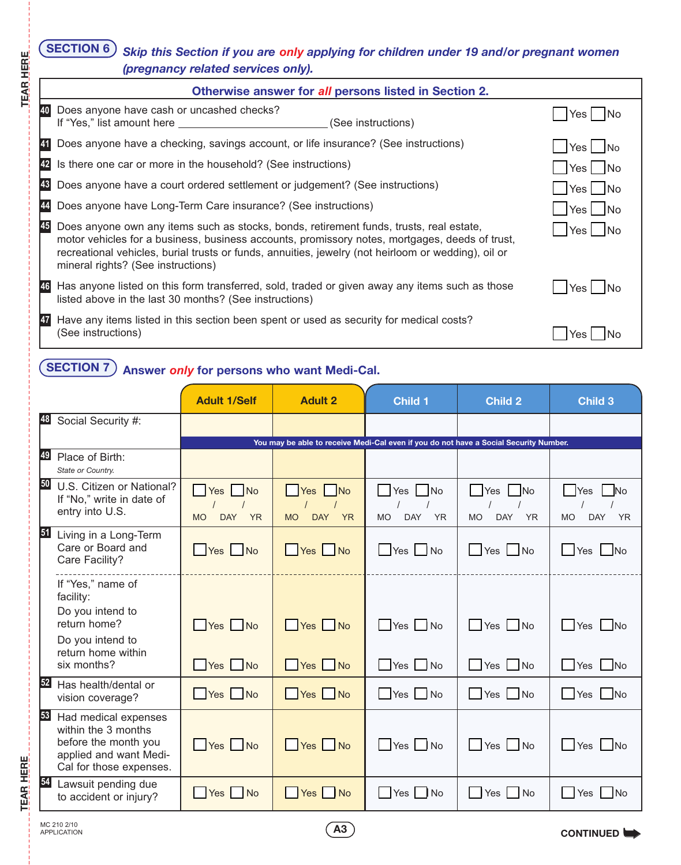### *Skip this Section if you are only applying for children under 19 and/or pregnant women (pregnancy related services only).* **SECTION 6**

|           | Otherwise answer for all persons listed in Section 2.                                                                                                                                                                                                                                                                                  |               |
|-----------|----------------------------------------------------------------------------------------------------------------------------------------------------------------------------------------------------------------------------------------------------------------------------------------------------------------------------------------|---------------|
| 40        | Does anyone have cash or uncashed checks?<br>If "Yes," list amount here ________________<br>(See instructions)                                                                                                                                                                                                                         | Yes I INo     |
| 41        | Does anyone have a checking, savings account, or life insurance? (See instructions)                                                                                                                                                                                                                                                    | Yes   No      |
| 42        | Is there one car or more in the household? (See instructions)                                                                                                                                                                                                                                                                          | Yes No        |
| 43        | Does anyone have a court ordered settlement or judgement? (See instructions)                                                                                                                                                                                                                                                           | $Yes$ No      |
| 44        | Does anyone have Long-Term Care insurance? (See instructions)                                                                                                                                                                                                                                                                          | Yes No        |
| 45        | Does anyone own any items such as stocks, bonds, retirement funds, trusts, real estate,<br>motor vehicles for a business, business accounts, promissory notes, mortgages, deeds of trust,<br>recreational vehicles, burial trusts or funds, annuities, jewelry (not heirloom or wedding), oil or<br>mineral rights? (See instructions) | Yes   No      |
|           | 46 Has anyone listed on this form transferred, sold, traded or given away any items such as those<br>listed above in the last 30 months? (See instructions)                                                                                                                                                                            | -INo<br>Yes l |
| <b>47</b> | Have any items listed in this section been spent or used as security for medical costs?<br>(See instructions)                                                                                                                                                                                                                          |               |

## **SECTION 7 Answer** *only* **for persons who want Medi-Cal.**

|    |                                                                                                                             | <b>Adult 1/Self</b>                              | <b>Adult 2</b>                                                                        | <b>Child 1</b>                                        | <b>Child 2</b>                                   | Child <sub>3</sub>                                                                |
|----|-----------------------------------------------------------------------------------------------------------------------------|--------------------------------------------------|---------------------------------------------------------------------------------------|-------------------------------------------------------|--------------------------------------------------|-----------------------------------------------------------------------------------|
| 48 | Social Security #:                                                                                                          |                                                  |                                                                                       |                                                       |                                                  |                                                                                   |
|    |                                                                                                                             |                                                  | You may be able to receive Medi-Cal even if you do not have a Social Security Number. |                                                       |                                                  |                                                                                   |
| 49 | Place of Birth:<br>State or Country.                                                                                        |                                                  |                                                                                       |                                                       |                                                  |                                                                                   |
| 50 | U.S. Citizen or National?<br>If "No," write in date of<br>entry into U.S.                                                   | $Yes$ No<br><b>DAY</b><br><b>YR</b><br><b>MO</b> | Yes No<br><b>MO</b><br><b>DAY</b><br><b>YR</b>                                        | No<br>  Yes  <br><b>MO</b><br><b>DAY</b><br><b>YR</b> | Yes   No<br><b>DAY</b><br><b>YR</b><br><b>MO</b> | <b>Yes</b><br>$\overline{\phantom{a}}$ No<br><b>MO</b><br><b>DAY</b><br><b>YR</b> |
| 51 | Living in a Long-Term<br>Care or Board and<br>Care Facility?                                                                | Yes No                                           | Yes No                                                                                | $\Box$ Yes $\Box$ No                                  | No Nes                                           | $\Box$ Yes $\Box$ No                                                              |
|    | If "Yes," name of<br>facility:<br>Do you intend to<br>return home?<br>Do you intend to<br>return home within<br>six months? | Yes No<br>$\Box$ Yes $\Box$ No                   | Yes No<br>Yes No                                                                      | Yes No<br>Yes No                                      | <b>No</b><br>Yes No                              | Yes<br>$\vert$ No<br>$\mathsf{L}$<br>$\Box$ Yes $\Box$ No                         |
| 52 | Has health/dental or<br>vision coverage?                                                                                    | Yes No                                           | Yes No                                                                                | $\Box$ Yes $\Box$ No                                  | $\Box$ Yes $\Box$ No                             | Yes No                                                                            |
| 53 | Had medical expenses<br>within the 3 months<br>before the month you<br>applied and want Medi-<br>Cal for those expenses.    | $\sqrt{\frac{1}{1}}$ Yes $\sqrt{\frac{1}{1}}$ No | Yes No                                                                                | $Yes$ No                                              | $\Box$ Yes $\Box$ No                             | <b>No</b>                                                                         |
| 54 | Lawsuit pending due<br>to accident or injury?                                                                               | Yes No                                           | Yes No                                                                                | <b>Yes</b><br>No                                      | l Yes<br>$\blacksquare$ No                       | Yes<br><b>No</b>                                                                  |

**A3** APPLICATION **A** APPLICATION

**TEAR HERE**

**TEAR HERE**